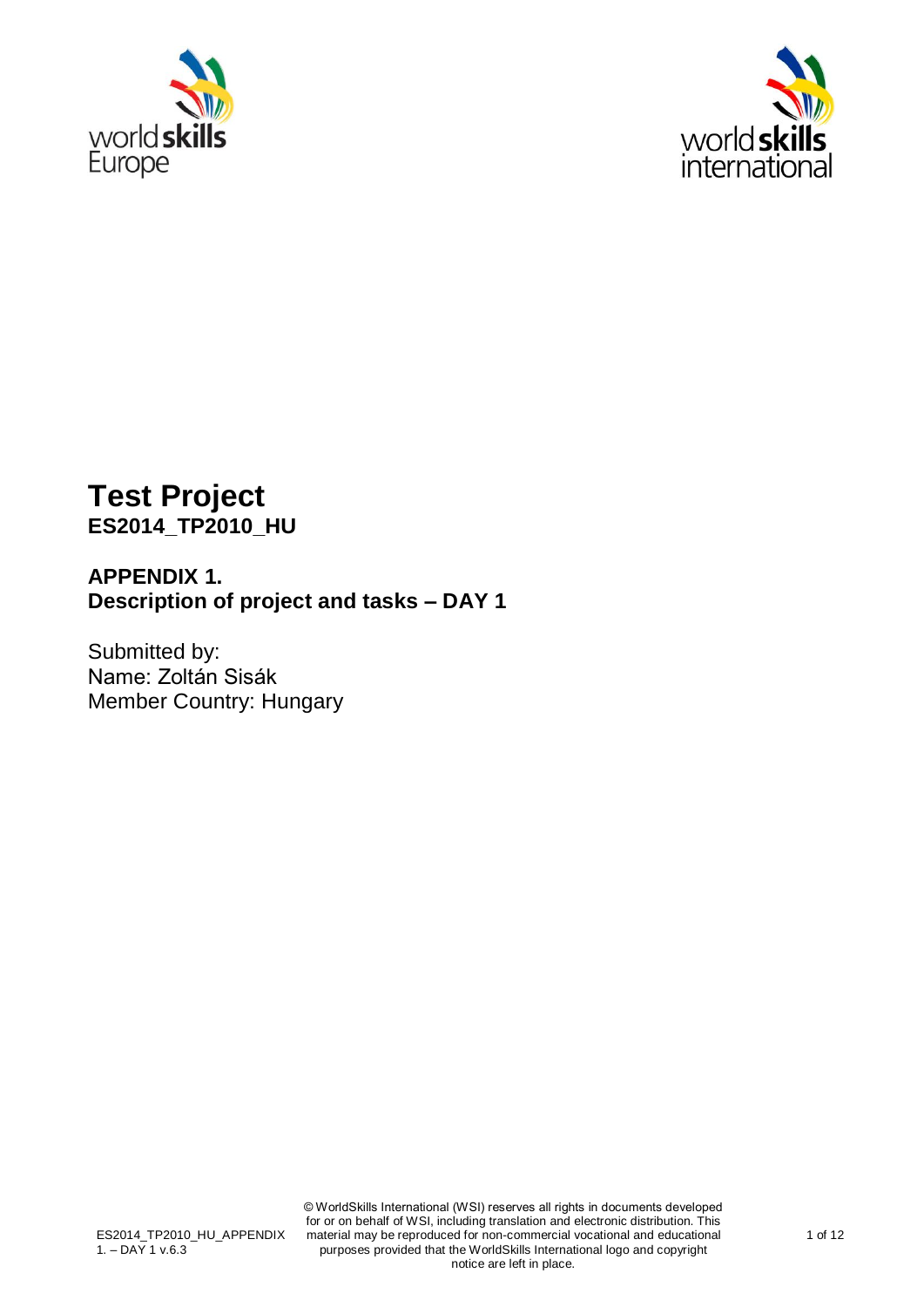



# **Test Project ES2014\_TP2010\_HU**

## **APPENDIX 1. Description of project and tasks – DAY 1**

Submitted by: Name: Zoltán Sisák Member Country: Hungary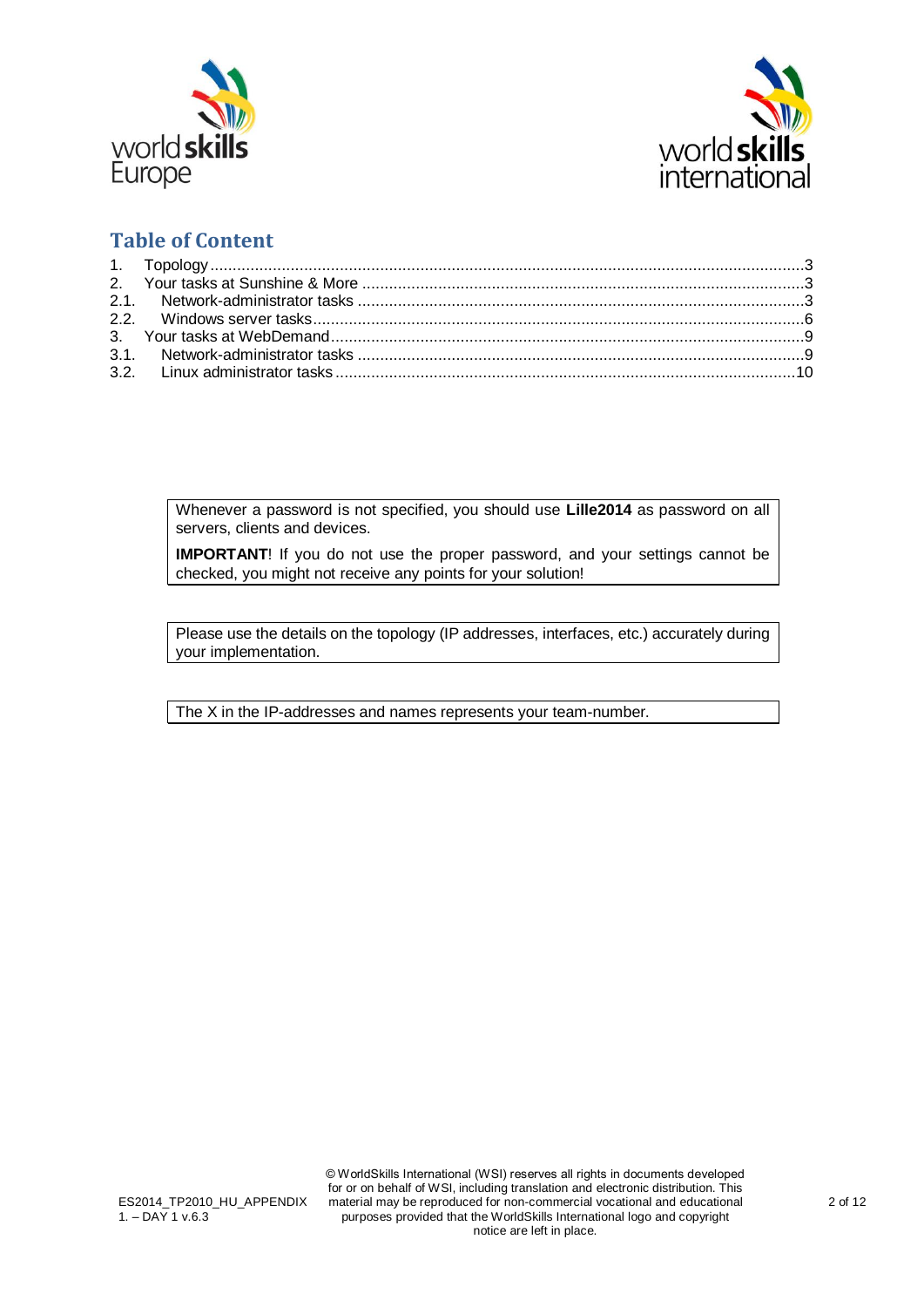



## **Table of Content**

Whenever a password is not specified, you should use **Lille2014** as password on all servers, clients and devices.

**IMPORTANT!** If you do not use the proper password, and your settings cannot be checked, you might not receive any points for your solution!

Please use the details on the topology (IP addresses, interfaces, etc.) accurately during your implementation.

The X in the IP-addresses and names represents your team-number.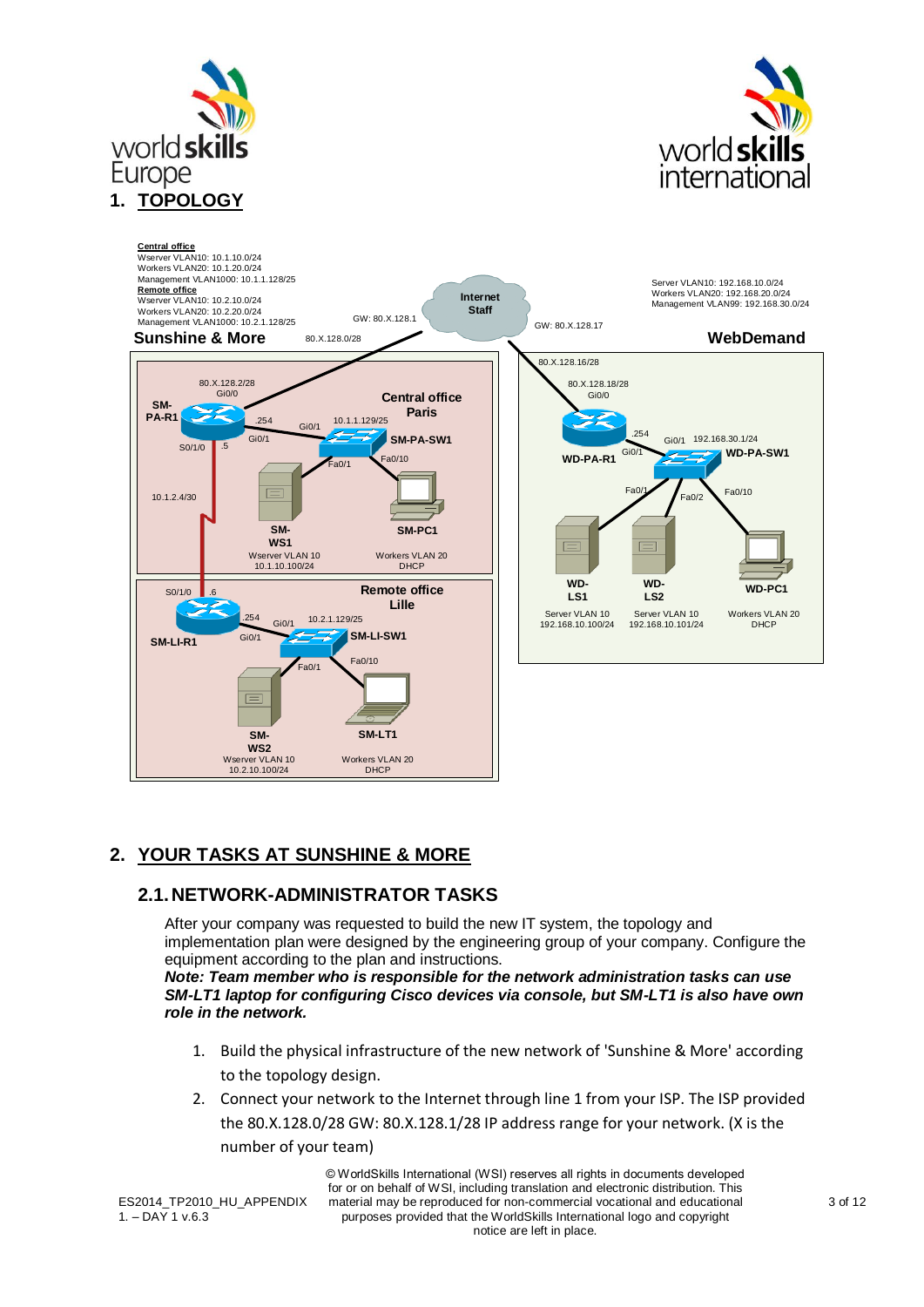



<span id="page-2-0"></span>

### <span id="page-2-1"></span>**2. YOUR TASKS AT SUNSHINE & MORE**

#### <span id="page-2-2"></span>**2.1.NETWORK-ADMINISTRATOR TASKS**

After your company was requested to build the new IT system, the topology and implementation plan were designed by the engineering group of your company. Configure the equipment according to the plan and instructions. *Note: Team member who is responsible for the network administration tasks can use SM-LT1 laptop for configuring Cisco devices via console, but SM-LT1 is also have own* 

*role in the network.*

- 1. Build the physical infrastructure of the new network of 'Sunshine & More' according to the topology design.
- 2. Connect your network to the Internet through line 1 from your ISP. The ISP provided the 80.X.128.0/28 GW: 80.X.128.1/28 IP address range for your network. (X is the number of your team)

ES2014 TP2010 HU APPENDIX  $1. -$  DAY 1 v.6.3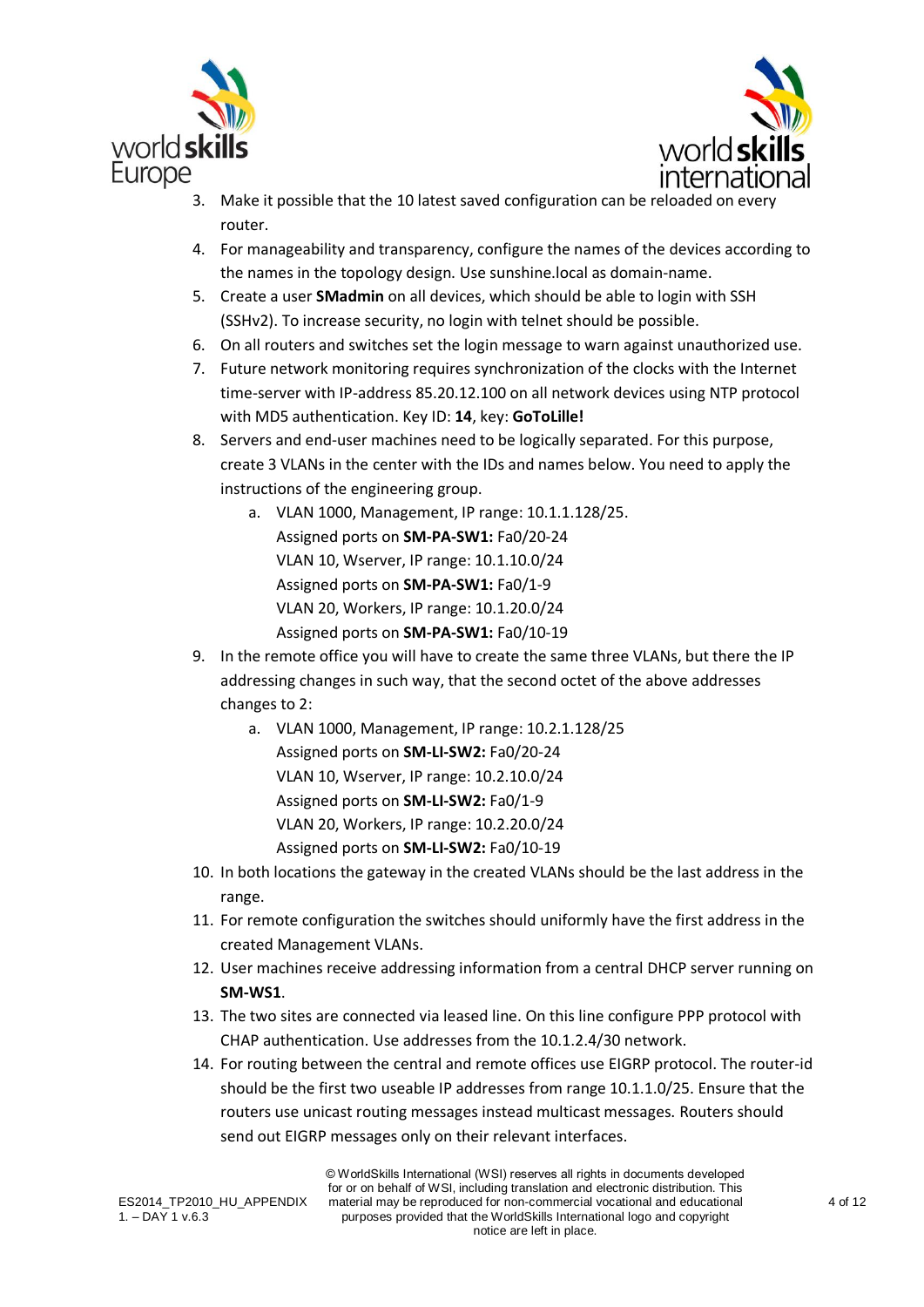



- 3. Make it possible that the 10 latest saved configuration can be reloaded on every router.
- 4. For manageability and transparency, configure the names of the devices according to the names in the topology design. Use sunshine.local as domain-name.
- 5. Create a user **SMadmin** on all devices, which should be able to login with SSH (SSHv2). To increase security, no login with telnet should be possible.
- 6. On all routers and switches set the login message to warn against unauthorized use.
- 7. Future network monitoring requires synchronization of the clocks with the Internet time-server with IP-address 85.20.12.100 on all network devices using NTP protocol with MD5 authentication. Key ID: **14**, key: **GoToLille!**
- 8. Servers and end-user machines need to be logically separated. For this purpose, create 3 VLANs in the center with the IDs and names below. You need to apply the instructions of the engineering group.
	- a. VLAN 1000, Management, IP range: 10.1.1.128/25. Assigned ports on **SM-PA-SW1:** Fa0/20-24 VLAN 10, Wserver, IP range: 10.1.10.0/24 Assigned ports on **SM-PA-SW1:** Fa0/1-9 VLAN 20, Workers, IP range: 10.1.20.0/24 Assigned ports on **SM-PA-SW1:** Fa0/10-19
- 9. In the remote office you will have to create the same three VLANs, but there the IP addressing changes in such way, that the second octet of the above addresses changes to 2:
	- a. VLAN 1000, Management, IP range: 10.2.1.128/25 Assigned ports on **SM-LI-SW2:** Fa0/20-24 VLAN 10, Wserver, IP range: 10.2.10.0/24 Assigned ports on **SM-LI-SW2:** Fa0/1-9 VLAN 20, Workers, IP range: 10.2.20.0/24 Assigned ports on **SM-LI-SW2:** Fa0/10-19
- 10. In both locations the gateway in the created VLANs should be the last address in the range.
- 11. For remote configuration the switches should uniformly have the first address in the created Management VLANs.
- 12. User machines receive addressing information from a central DHCP server running on **SM-WS1**.
- 13. The two sites are connected via leased line. On this line configure PPP protocol with CHAP authentication. Use addresses from the 10.1.2.4/30 network.
- 14. For routing between the central and remote offices use EIGRP protocol. The router-id should be the first two useable IP addresses from range 10.1.1.0/25. Ensure that the routers use unicast routing messages instead multicast messages. Routers should send out EIGRP messages only on their relevant interfaces.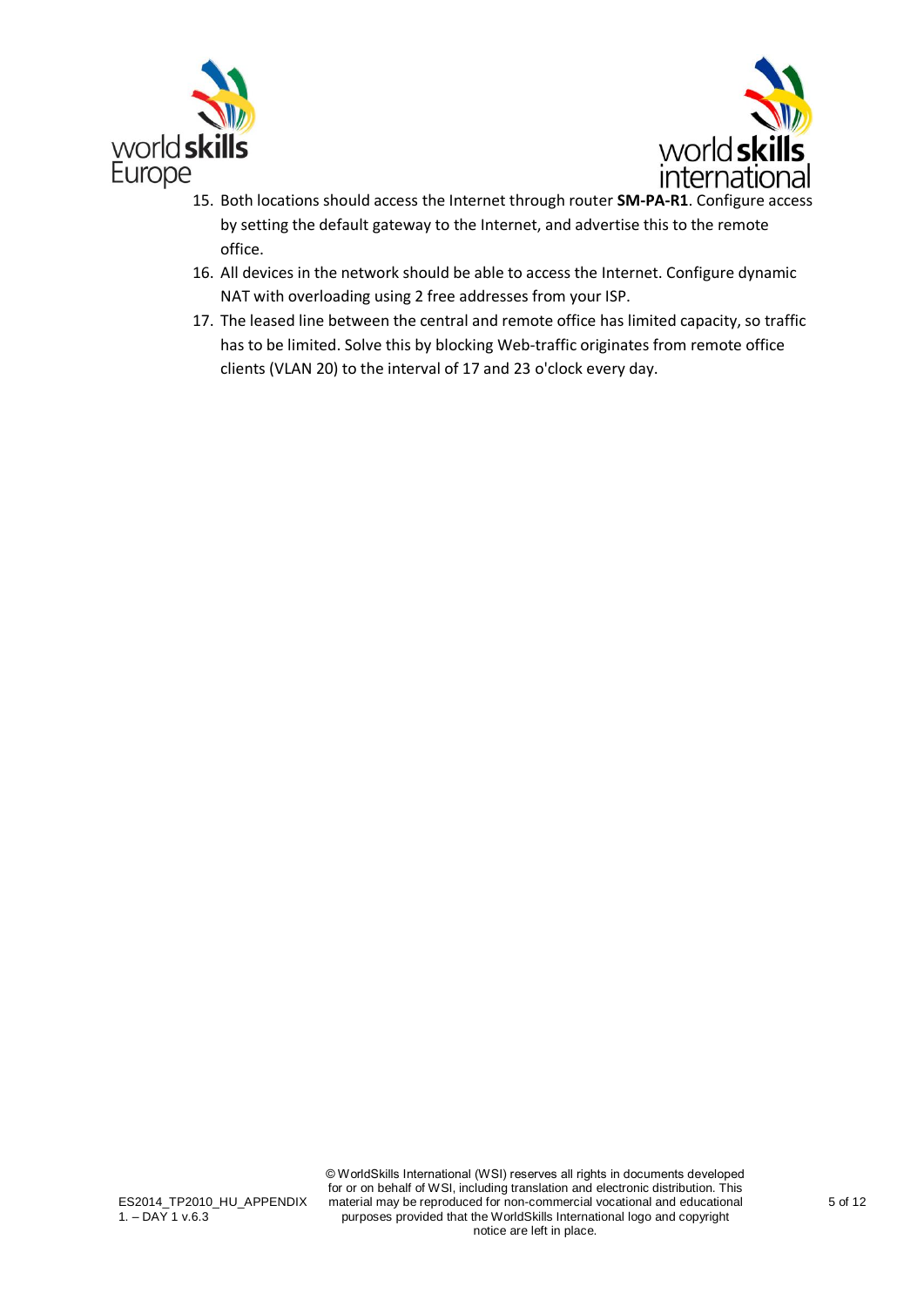



- 15. Both locations should access the Internet through router **SM-PA-R1**. Configure access by setting the default gateway to the Internet, and advertise this to the remote office.
- 16. All devices in the network should be able to access the Internet. Configure dynamic NAT with overloading using 2 free addresses from your ISP.
- 17. The leased line between the central and remote office has limited capacity, so traffic has to be limited. Solve this by blocking Web-traffic originates from remote office clients (VLAN 20) to the interval of 17 and 23 o'clock every day.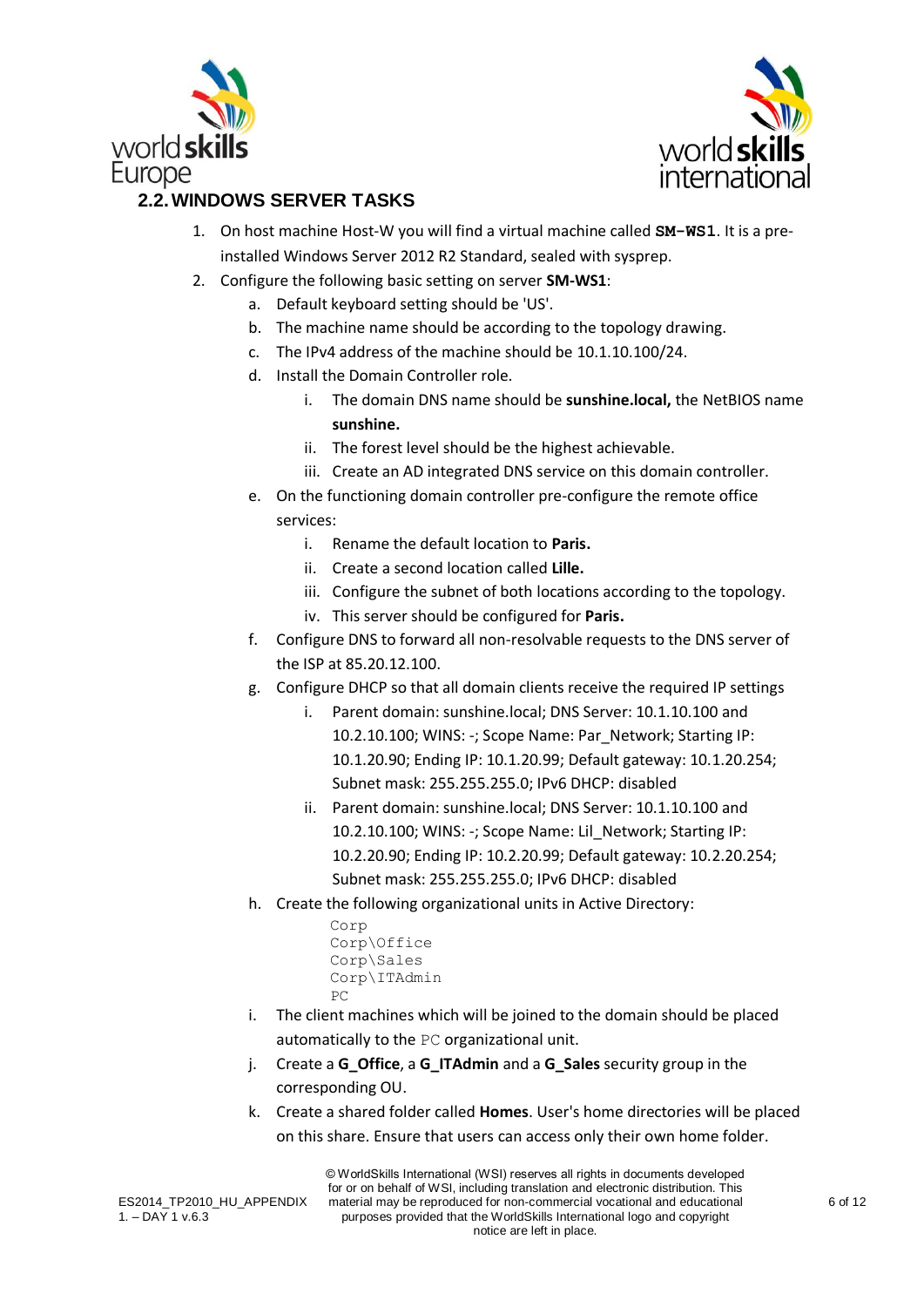



## <span id="page-5-0"></span>**2.2.WINDOWS SERVER TASKS**

- 1. On host machine Host-W you will find a virtual machine called **SM-WS1**. It is a preinstalled Windows Server 2012 R2 Standard, sealed with sysprep.
- 2. Configure the following basic setting on server **SM-WS1**:
	- a. Default keyboard setting should be 'US'.
	- b. The machine name should be according to the topology drawing.
	- c. The IPv4 address of the machine should be 10.1.10.100/24.
	- d. Install the Domain Controller role.
		- i. The domain DNS name should be **sunshine.local,** the NetBIOS name **sunshine.**
		- ii. The forest level should be the highest achievable.
		- iii. Create an AD integrated DNS service on this domain controller.
	- e. On the functioning domain controller pre-configure the remote office services:
		- i. Rename the default location to **Paris.**
			- ii. Create a second location called **Lille.**
			- iii. Configure the subnet of both locations according to the topology.
			- iv. This server should be configured for **Paris.**
	- f. Configure DNS to forward all non-resolvable requests to the DNS server of the ISP at 85.20.12.100.
	- g. Configure DHCP so that all domain clients receive the required IP settings
		- i. Parent domain: sunshine.local; DNS Server: 10.1.10.100 and 10.2.10.100; WINS: -; Scope Name: Par\_Network; Starting IP: 10.1.20.90; Ending IP: 10.1.20.99; Default gateway: 10.1.20.254; Subnet mask: 255.255.255.0; IPv6 DHCP: disabled
		- ii. Parent domain: sunshine.local; DNS Server: 10.1.10.100 and 10.2.10.100; WINS: -; Scope Name: Lil\_Network; Starting IP: 10.2.20.90; Ending IP: 10.2.20.99; Default gateway: 10.2.20.254; Subnet mask: 255.255.255.0; IPv6 DHCP: disabled
	- h. Create the following organizational units in Active Directory:

```
Corp
Corp\Office
Corp\Sales
Corp\ITAdmin
P<sub>C</sub>
```
- i. The client machines which will be joined to the domain should be placed automatically to the PC organizational unit.
- j. Create a **G\_Office**, a **G\_ITAdmin** and a **G\_Sales** security group in the corresponding OU.
- k. Create a shared folder called **Homes**. User's home directories will be placed on this share. Ensure that users can access only their own home folder.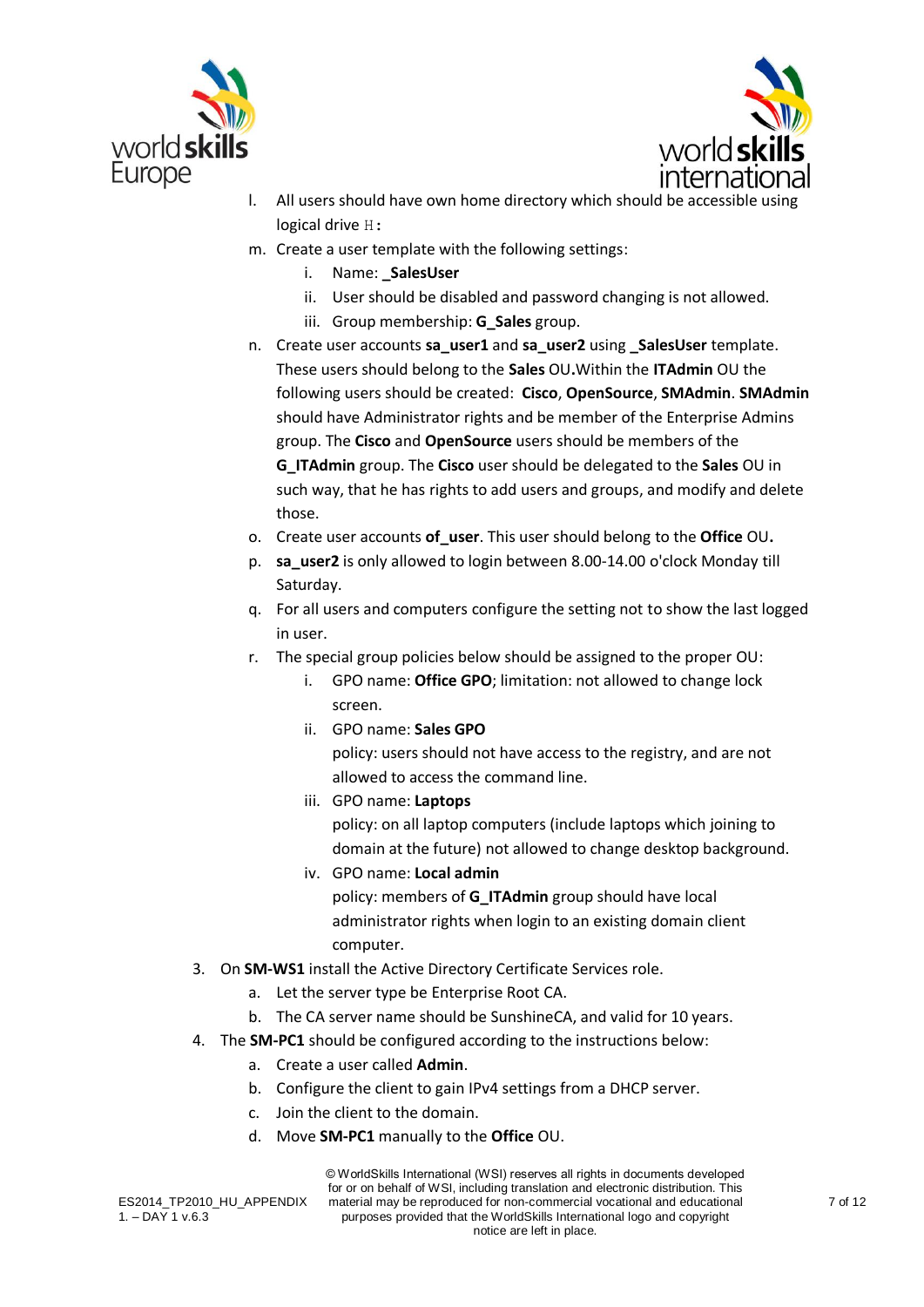



- All users should have own home directory which should be accessible using logical drive  $H$ :
- m. Create a user template with the following settings:
	- i. Name: SalesUser
	- ii. User should be disabled and password changing is not allowed.
	- iii. Group membership: **G\_Sales** group.
- n. Create user accounts **sa\_user1** and **sa\_user2** using **\_SalesUser** template. These users should belong to the **Sales** OU**.**Within the **ITAdmin** OU the following users should be created: **Cisco**, **OpenSource**, **SMAdmin**. **SMAdmin** should have Administrator rights and be member of the Enterprise Admins group. The **Cisco** and **OpenSource** users should be members of the **G\_ITAdmin** group. The **Cisco** user should be delegated to the **Sales** OU in such way, that he has rights to add users and groups, and modify and delete those.
- o. Create user accounts **of\_user**. This user should belong to the **Office** OU**.**
- p. **sa\_user2** is only allowed to login between 8.00-14.00 o'clock Monday till Saturday.
- q. For all users and computers configure the setting not to show the last logged in user.
- r. The special group policies below should be assigned to the proper OU:
	- i. GPO name: **Office GPO**; limitation: not allowed to change lock screen.
	- ii. GPO name: **Sales GPO**

policy: users should not have access to the registry, and are not allowed to access the command line.

- iii. GPO name: **Laptops** policy: on all laptop computers (include laptops which joining to domain at the future) not allowed to change desktop background.
- iv. GPO name: **Local admin** policy: members of **G\_ITAdmin** group should have local administrator rights when login to an existing domain client computer.
- 3. On **SM-WS1** install the Active Directory Certificate Services role.
	- a. Let the server type be Enterprise Root CA.
	- b. The CA server name should be SunshineCA, and valid for 10 years.
- 4. The **SM-PC1** should be configured according to the instructions below:
	- a. Create a user called **Admin**.
	- b. Configure the client to gain IPv4 settings from a DHCP server.
	- c. Join the client to the domain.
	- d. Move **SM-PC1** manually to the **Office** OU.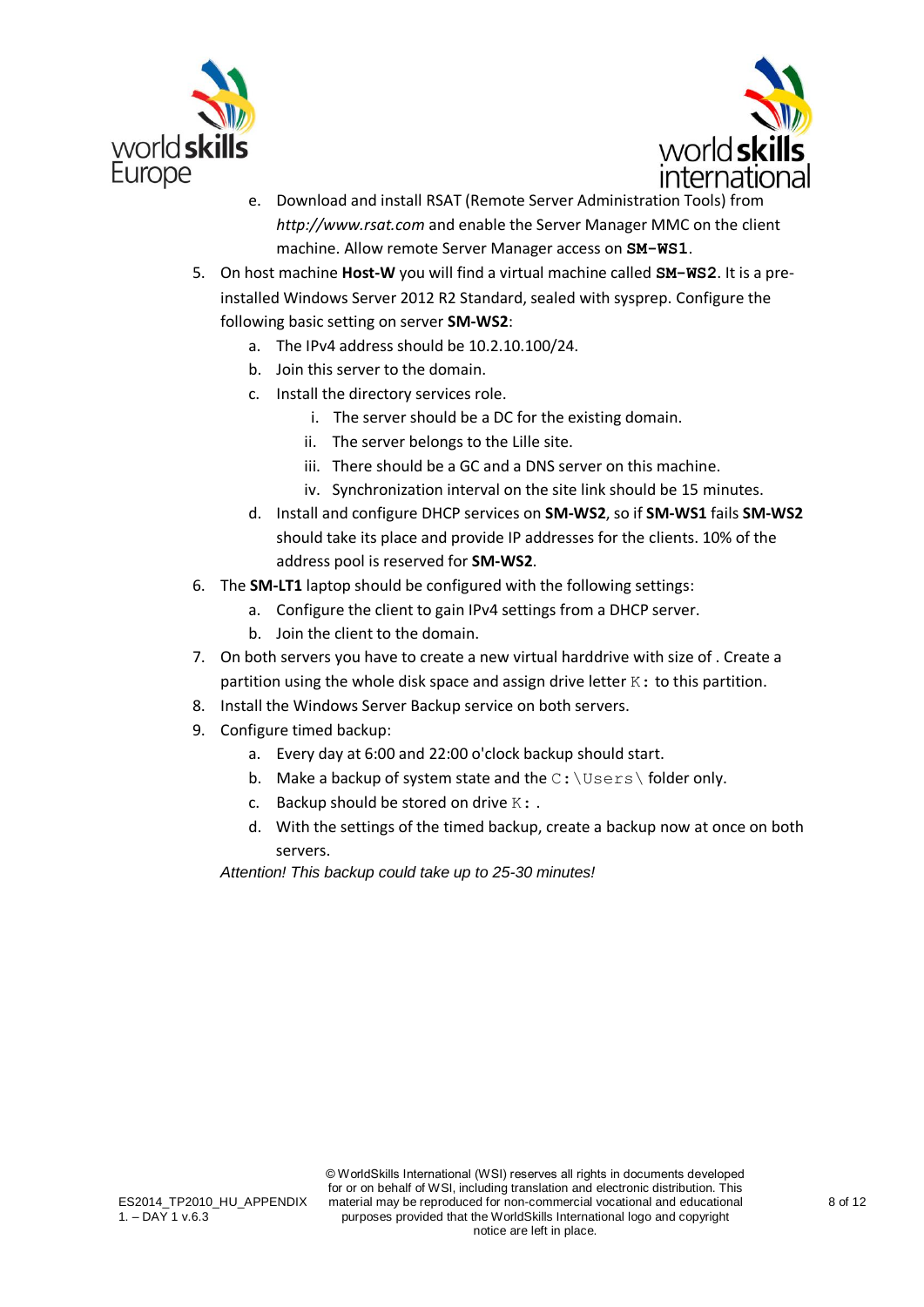



- e. Download and install RSAT (Remote Server Administration Tools) from *http://www.rsat.com* and enable the Server Manager MMC on the client machine. Allow remote Server Manager access on **SM-WS1**.
- 5. On host machine **Host-W** you will find a virtual machine called **SM-WS2**. It is a preinstalled Windows Server 2012 R2 Standard, sealed with sysprep. Configure the following basic setting on server **SM-WS2**:
	- a. The IPv4 address should be 10.2.10.100/24.
	- b. Join this server to the domain.
	- c. Install the directory services role.
		- i. The server should be a DC for the existing domain.
		- ii. The server belongs to the Lille site.
		- iii. There should be a GC and a DNS server on this machine.
		- iv. Synchronization interval on the site link should be 15 minutes.
	- d. Install and configure DHCP services on **SM-WS2**, so if **SM-WS1** fails **SM-WS2** should take its place and provide IP addresses for the clients. 10% of the address pool is reserved for **SM-WS2**.
- 6. The **SM-LT1** laptop should be configured with the following settings:
	- a. Configure the client to gain IPv4 settings from a DHCP server.
	- b. Join the client to the domain.
- 7. On both servers you have to create a new virtual harddrive with size of . Create a partition using the whole disk space and assign drive letter  $K:$  to this partition.
- 8. Install the Windows Server Backup service on both servers.
- 9. Configure timed backup:
	- a. Every day at 6:00 and 22:00 o'clock backup should start.
	- b. Make a backup of system state and the  $C: \big\setminus \text{Users} \setminus \text{folder only.}$
	- c. Backup should be stored on drive  $K:$ .
	- d. With the settings of the timed backup, create a backup now at once on both servers.

*Attention! This backup could take up to 25-30 minutes!*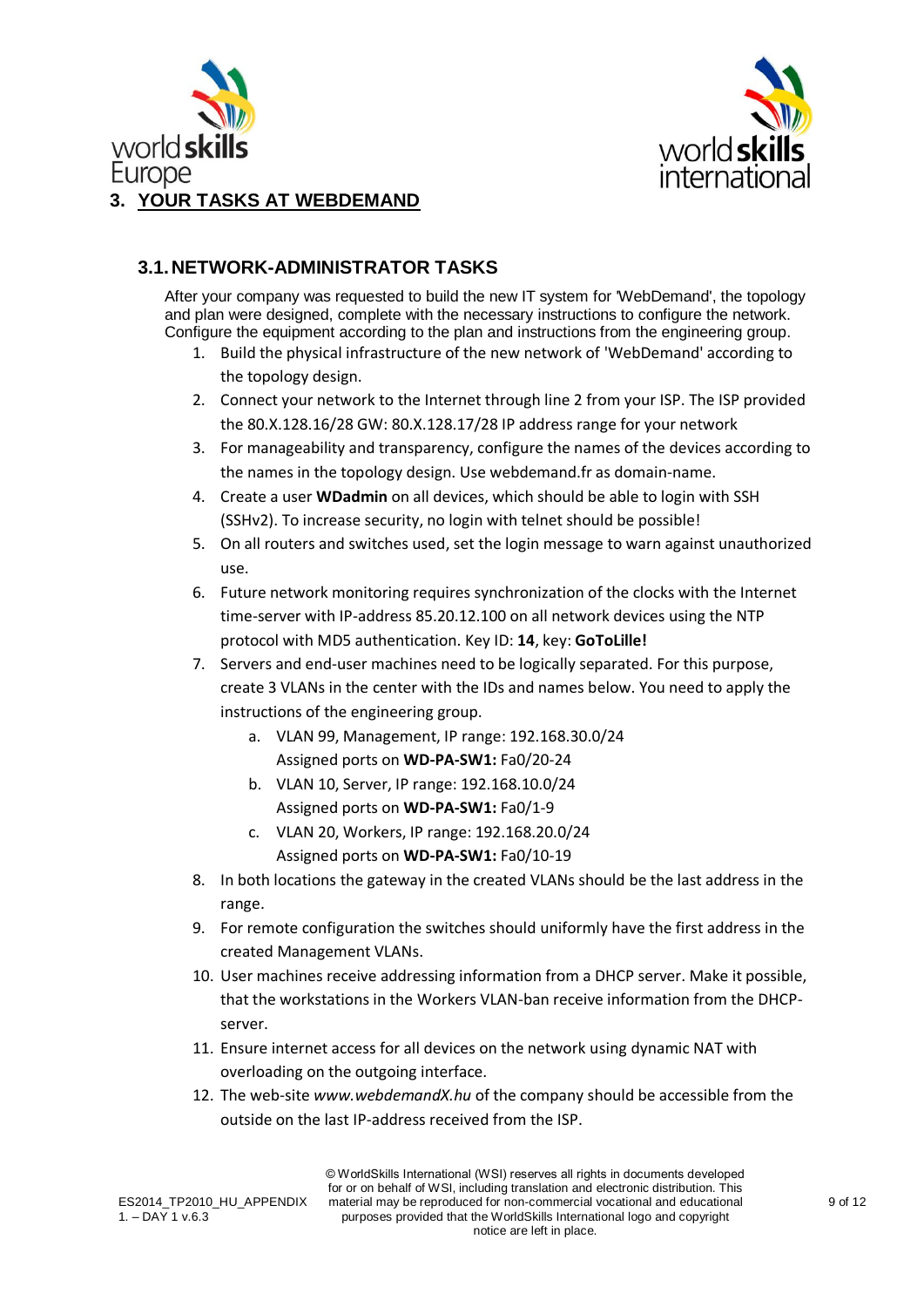



#### <span id="page-8-1"></span><span id="page-8-0"></span>**3.1.NETWORK-ADMINISTRATOR TASKS**

After your company was requested to build the new IT system for 'WebDemand', the topology and plan were designed, complete with the necessary instructions to configure the network. Configure the equipment according to the plan and instructions from the engineering group.

- 1. Build the physical infrastructure of the new network of 'WebDemand' according to the topology design.
- 2. Connect your network to the Internet through line 2 from your ISP. The ISP provided the 80.X.128.16/28 GW: 80.X.128.17/28 IP address range for your network
- 3. For manageability and transparency, configure the names of the devices according to the names in the topology design. Use webdemand.fr as domain-name.
- 4. Create a user **WDadmin** on all devices, which should be able to login with SSH (SSHv2). To increase security, no login with telnet should be possible!
- 5. On all routers and switches used, set the login message to warn against unauthorized use.
- 6. Future network monitoring requires synchronization of the clocks with the Internet time-server with IP-address 85.20.12.100 on all network devices using the NTP protocol with MD5 authentication. Key ID: **14**, key: **GoToLille!**
- 7. Servers and end-user machines need to be logically separated. For this purpose, create 3 VLANs in the center with the IDs and names below. You need to apply the instructions of the engineering group.
	- a. VLAN 99, Management, IP range: 192.168.30.0/24 Assigned ports on **WD-PA-SW1:** Fa0/20-24
	- b. VLAN 10, Server, IP range: 192.168.10.0/24 Assigned ports on **WD-PA-SW1:** Fa0/1-9
	- c. VLAN 20, Workers, IP range: 192.168.20.0/24 Assigned ports on **WD-PA-SW1:** Fa0/10-19
- 8. In both locations the gateway in the created VLANs should be the last address in the range.
- 9. For remote configuration the switches should uniformly have the first address in the created Management VLANs.
- 10. User machines receive addressing information from a DHCP server. Make it possible, that the workstations in the Workers VLAN-ban receive information from the DHCPserver.
- 11. Ensure internet access for all devices on the network using dynamic NAT with overloading on the outgoing interface.
- 12. The web-site *www.webdemandX.hu* of the company should be accessible from the outside on the last IP-address received from the ISP.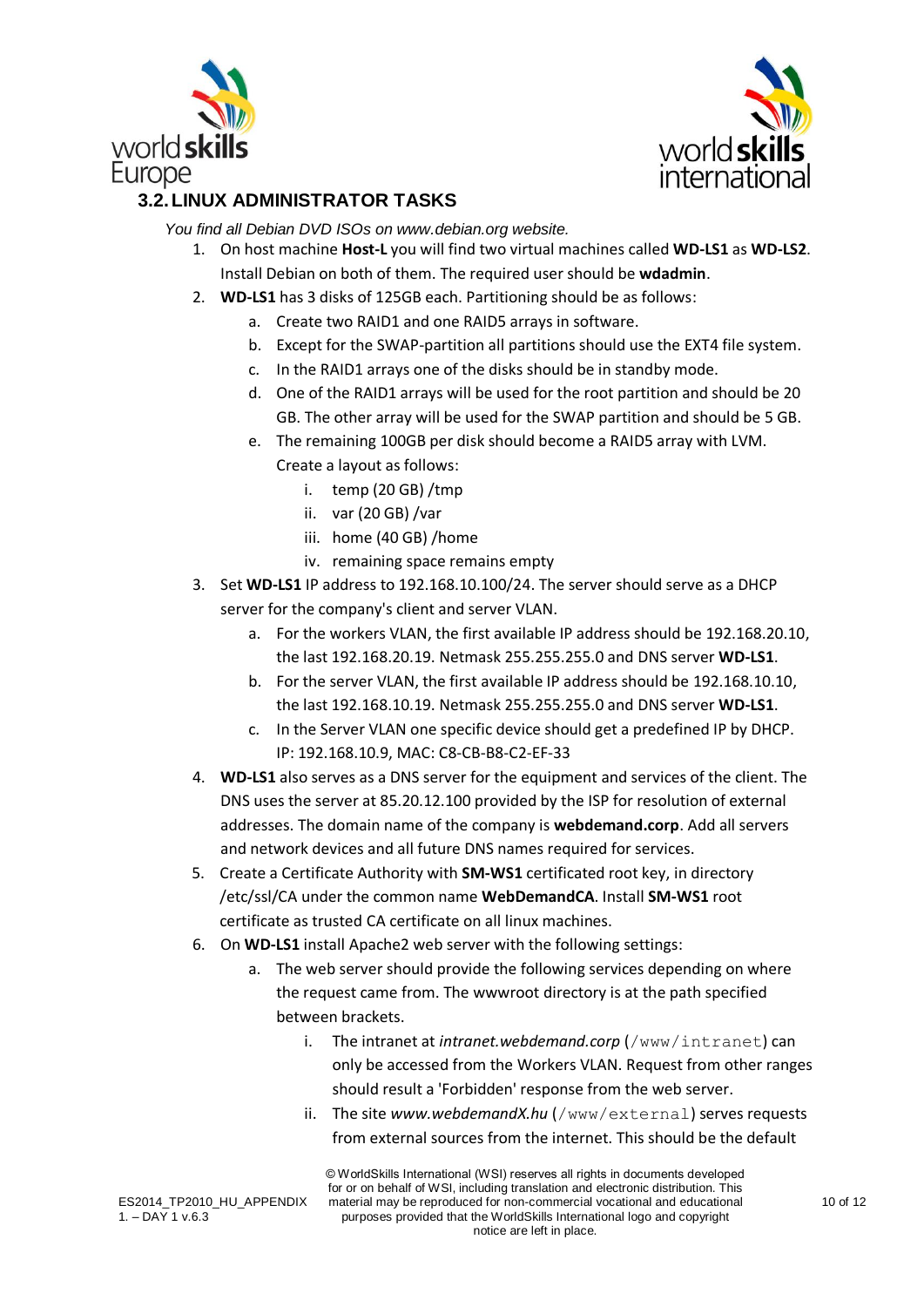



## <span id="page-9-0"></span>**3.2.LINUX ADMINISTRATOR TASKS**

*You find all Debian DVD ISOs on [www.debian.org](http://www.debian.org/) website.*

- 1. On host machine **Host-L** you will find two virtual machines called **WD-LS1** as **WD-LS2**. Install Debian on both of them. The required user should be **wdadmin**.
- 2. **WD-LS1** has 3 disks of 125GB each. Partitioning should be as follows:
	- a. Create two RAID1 and one RAID5 arrays in software.
	- b. Except for the SWAP-partition all partitions should use the EXT4 file system.
	- c. In the RAID1 arrays one of the disks should be in standby mode.
	- d. One of the RAID1 arrays will be used for the root partition and should be 20 GB. The other array will be used for the SWAP partition and should be 5 GB.
	- e. The remaining 100GB per disk should become a RAID5 array with LVM. Create a layout as follows:
		- i. temp (20 GB) /tmp
		- ii. var (20 GB) /var
		- iii. home (40 GB) /home
		- iv. remaining space remains empty
- 3. Set **WD-LS1** IP address to 192.168.10.100/24. The server should serve as a DHCP server for the company's client and server VLAN.
	- a. For the workers VLAN, the first available IP address should be 192.168.20.10, the last 192.168.20.19. Netmask 255.255.255.0 and DNS server **WD-LS1**.
	- b. For the server VLAN, the first available IP address should be 192.168.10.10, the last 192.168.10.19. Netmask 255.255.255.0 and DNS server **WD-LS1**.
	- c. In the Server VLAN one specific device should get a predefined IP by DHCP. IP: 192.168.10.9, MAC: C8-CB-B8-C2-EF-33
- 4. **WD-LS1** also serves as a DNS server for the equipment and services of the client. The DNS uses the server at 85.20.12.100 provided by the ISP for resolution of external addresses. The domain name of the company is **webdemand.corp**. Add all servers and network devices and all future DNS names required for services.
- 5. Create a Certificate Authority with **SM-WS1** certificated root key, in directory /etc/ssl/CA under the common name **WebDemandCA**. Install **SM-WS1** root certificate as trusted CA certificate on all linux machines.
- 6. On **WD-LS1** install Apache2 web server with the following settings:
	- a. The web server should provide the following services depending on where the request came from. The wwwroot directory is at the path specified between brackets.
		- i. The intranet at *intranet.webdemand.corp* (/www/intranet) can only be accessed from the Workers VLAN. Request from other ranges should result a 'Forbidden' response from the web server.
		- ii. The site *www.webdemandX.hu* (/www/external) serves requests from external sources from the internet. This should be the default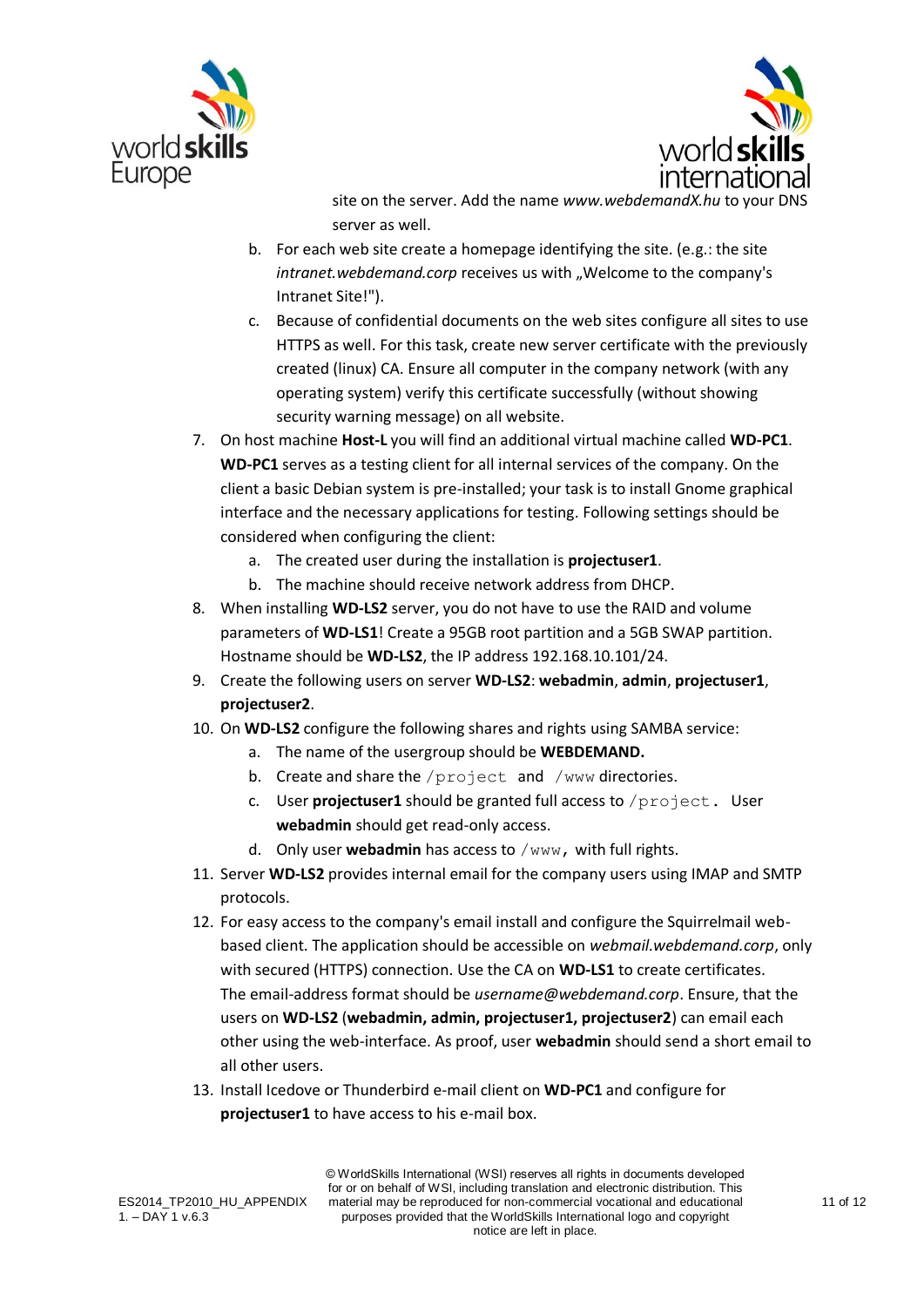



site on the server. Add the name *www.webdemandX.hu* to your DNS server as well.

- b. For each web site create a homepage identifying the site. (e.g.: the site *intranet.webdemand.corp* receives us with "Welcome to the company's Intranet Site!").
- c. Because of confidential documents on the web sites configure all sites to use HTTPS as well. For this task, create new server certificate with the previously created (linux) CA. Ensure all computer in the company network (with any operating system) verify this certificate successfully (without showing security warning message) on all website.
- 7. On host machine **Host-L** you will find an additional virtual machine called **WD-PC1**. **WD-PC1** serves as a testing client for all internal services of the company. On the client a basic Debian system is pre-installed; your task is to install Gnome graphical interface and the necessary applications for testing. Following settings should be considered when configuring the client:
	- a. The created user during the installation is **projectuser1**.
	- b. The machine should receive network address from DHCP.
- 8. When installing **WD-LS2** server, you do not have to use the RAID and volume parameters of **WD-LS1**! Create a 95GB root partition and a 5GB SWAP partition. Hostname should be **WD-LS2**, the IP address 192.168.10.101/24.
- 9. Create the following users on server **WD-LS2**: **webadmin**, **admin**, **projectuser1**, **projectuser2**.
- 10. On **WD-LS2** configure the following shares and rights using SAMBA service:
	- a. The name of the usergroup should be **WEBDEMAND.**
	- b. Create and share the /project and /www directories.
	- c. User **projectuser1** should be granted full access to /project. User **webadmin** should get read-only access.
	- d. Only user **webadmin** has access to /www, with full rights.
- 11. Server **WD-LS2** provides internal email for the company users using IMAP and SMTP protocols.
- 12. For easy access to the company's email install and configure the Squirrelmail webbased client. The application should be accessible on *webmail.webdemand.corp*, only with secured (HTTPS) connection. Use the CA on **WD-LS1** to create certificates. The email-address format should be *username@webdemand.corp*. Ensure, that the users on **WD-LS2** (**webadmin, admin, projectuser1, projectuser2**) can email each other using the web-interface. As proof, user **webadmin** should send a short email to all other users.
- 13. Install Icedove or Thunderbird e-mail client on **WD-PC1** and configure for **projectuser1** to have access to his e-mail box.